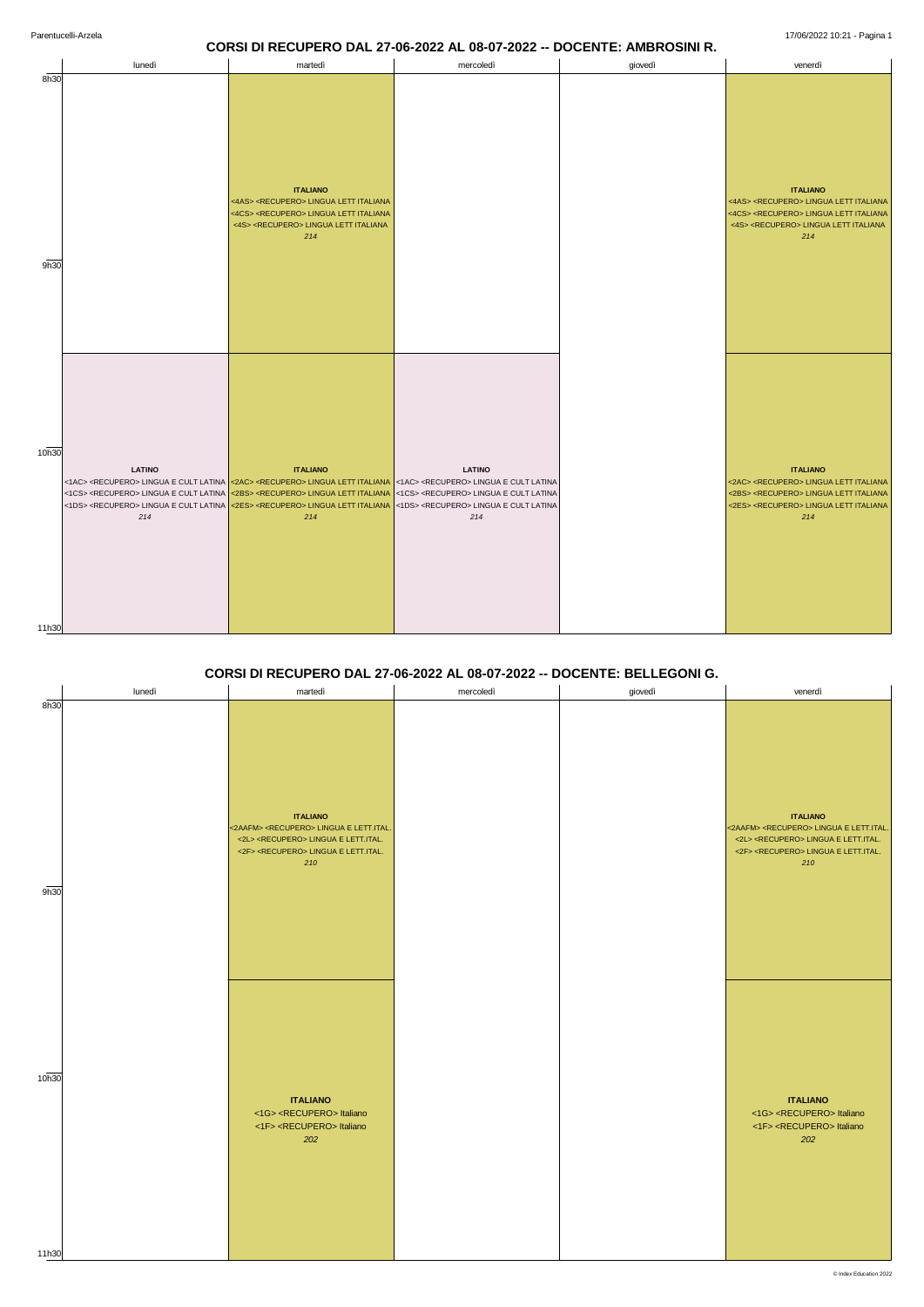# **CORSI DI RECUPERO DAL 27-06-2022 AL 08-07-2022 -- DOCENTE: AMBROSINI R.**

|                | lunedì               | martedì                                                                                                                                                                                                                                                                                                                                                                                                                                                                                                                                                               | mercoledì            | giovedì | venerdì                                                                                                                                                                                           |
|----------------|----------------------|-----------------------------------------------------------------------------------------------------------------------------------------------------------------------------------------------------------------------------------------------------------------------------------------------------------------------------------------------------------------------------------------------------------------------------------------------------------------------------------------------------------------------------------------------------------------------|----------------------|---------|---------------------------------------------------------------------------------------------------------------------------------------------------------------------------------------------------|
| 8h30<br>9h30   |                      | <b>ITALIANO</b><br><4AS> <recupero> LINGUA LETT ITALIANA<br/>&lt;4CS&gt; <recupero> LINGUA LETT ITALIANA<br/>&lt;4S&gt; <recupero> LINGUA LETT ITALIANA<br/>214</recupero></recupero></recupero>                                                                                                                                                                                                                                                                                                                                                                      |                      |         | <b>ITALIANO</b><br><4AS> <recupero> LINGUA LETT ITALIANA<br/>&lt;4CS&gt; <recupero> LINGUA LETT ITALIANA<br/>&lt;4S&gt; <recupero> LINGUA LETT ITALIANA<br/>214</recupero></recupero></recupero>  |
| 10h30<br>11h30 | <b>LATINO</b><br>214 | <b>ITALIANO</b><br><1AC> <recupero> LINGUA E CULT LATINA <mark>&lt;2AC&gt; <recupero> LINGUA LETT ITALIANA &lt;1AC&gt; <recupero> LINGUA E CULT LATINA</recupero></recupero></mark><br/>&lt;1CS&gt; <recupero> LINGUA E CULT LATINA &lt;2BS&gt; <recupero> LINGUA LETT ITALIANA &lt;1CS&gt; <recupero> LINGUA E CULT LATINA<br/>&lt;1DS&gt; <recupero> LINGUA E CULT LATINA <mark>&lt;2ES&gt; <recupero> LINGUA LETT ITALIANA &lt;1DS&gt; <recupero> LINGUA E CULT LATINA</recupero></recupero></mark><br/>214</recupero></recupero></recupero></recupero></recupero> | <b>LATINO</b><br>214 |         | <b>ITALIANO</b><br><2AC> <recupero> LINGUA LETT ITALIANA<br/>&lt;2BS&gt; <recupero> LINGUA LETT ITALIANA<br/>&lt;2ES&gt; <recupero> LINGUA LETT ITALIANA<br/>214</recupero></recupero></recupero> |

## **CORSI DI RECUPERO DAL 27-06-2022 AL 08-07-2022 -- DOCENTE: BELLEGONI G.**

|      | lunedì | martedì                                                                                                                                                                                        | mercoledì | giovedì | venerdì                                                                                                                                                                                        |
|------|--------|------------------------------------------------------------------------------------------------------------------------------------------------------------------------------------------------|-----------|---------|------------------------------------------------------------------------------------------------------------------------------------------------------------------------------------------------|
| 8h30 |        | <b>ITALIANO</b><br><2AAFM> <recupero> LINGUA E LETT.ITAL.<br/>&lt;2L&gt; <recupero> LINGUA E LETT.ITAL.<br/>&lt;2F&gt; <recupero> LINGUA E LETT.ITAL.<br/>210</recupero></recupero></recupero> |           |         | <b>ITALIANO</b><br><2AAFM> <recupero> LINGUA E LETT.ITAL.<br/>&lt;2L&gt; <recupero> LINGUA E LETT.ITAL.<br/>&lt;2F&gt; <recupero> LINGUA E LETT.ITAL.<br/>210</recupero></recupero></recupero> |
| 9h30 |        |                                                                                                                                                                                                |           |         |                                                                                                                                                                                                |

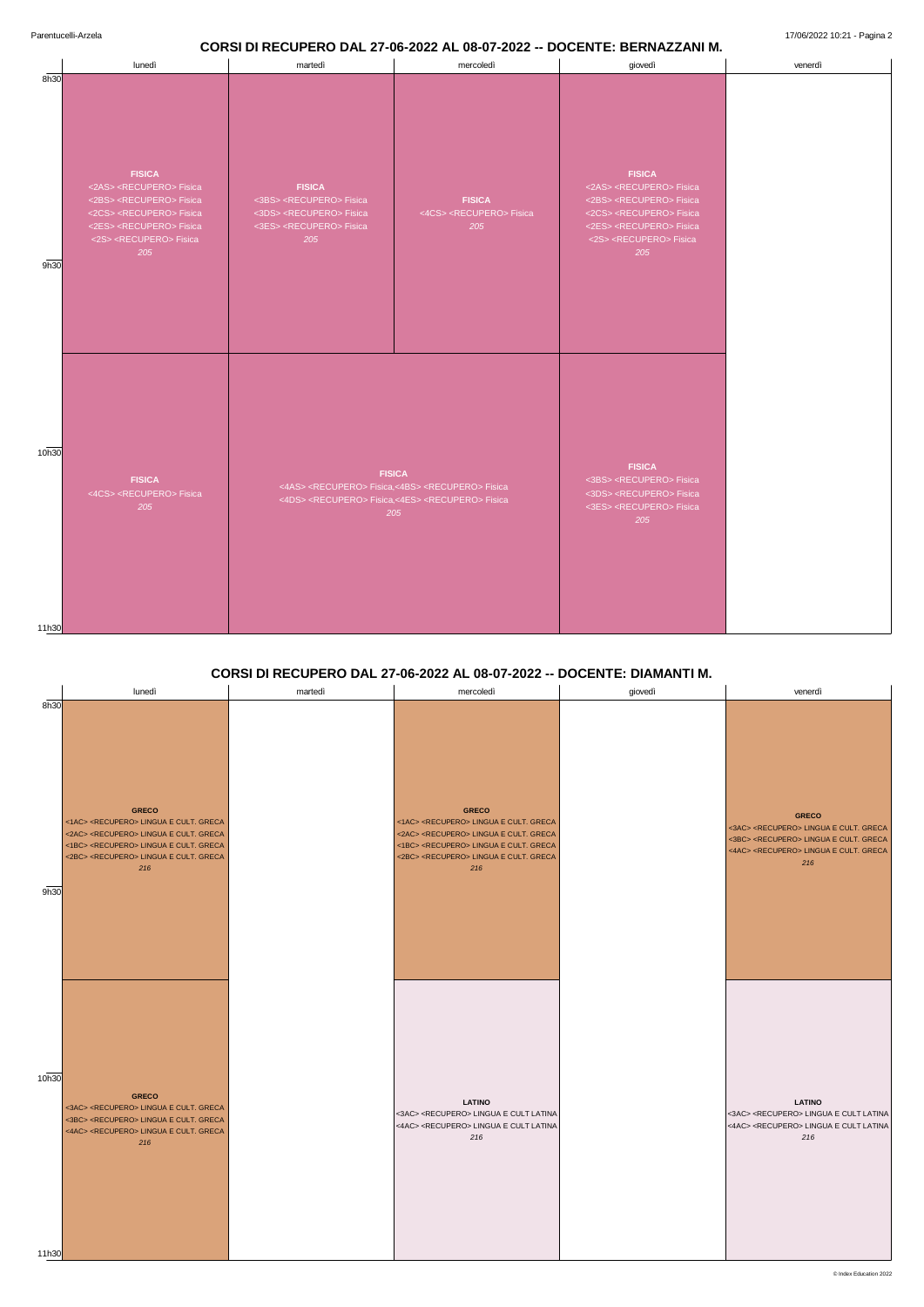#### **CORSI DI RECUPERO DAL 27-06-2022 AL 08-07-2022 -- DOCENTE: BERNAZZANI M.**

Parentucelli-Arzela 17/06/2022 10:21 - Pagina 2

|                |                                                                                                                                                                                                                                                |                                                                                                                                                                                            | mercoledì                                                   | giovedì                                                                                                                                                                                                                                        | venerdì |
|----------------|------------------------------------------------------------------------------------------------------------------------------------------------------------------------------------------------------------------------------------------------|--------------------------------------------------------------------------------------------------------------------------------------------------------------------------------------------|-------------------------------------------------------------|------------------------------------------------------------------------------------------------------------------------------------------------------------------------------------------------------------------------------------------------|---------|
| 8h30<br>9h30   | <b>FISICA</b><br><2AS> <recupero> Fisica<br/>&lt;2BS&gt; <recupero> Fisica<br/>&lt;2CS&gt; <recupero> Fisica<br/>&lt;2ES&gt; <recupero> Fisica<br/>&lt;2S&gt; <recupero> Fisica<br/>205</recupero></recupero></recupero></recupero></recupero> | <b>FISICA</b><br><3BS> <recupero> Fisica<br/>&lt;3DS&gt; <recupero> Fisica<br/>&lt;3ES&gt; <recupero> Fisica<br/>205</recupero></recupero></recupero>                                      | <b>FISICA</b><br><4CS> <recupero> Fisica<br/>205</recupero> | <b>FISICA</b><br><2AS> <recupero> Fisica<br/>&lt;2BS&gt; <recupero> Fisica<br/>&lt;2CS&gt; <recupero> Fisica<br/>&lt;2ES&gt; <recupero> Fisica<br/>&lt;2S&gt; <recupero> Fisica<br/>205</recupero></recupero></recupero></recupero></recupero> |         |
| 10h30<br>11h30 | <b>FISICA</b><br><4CS> <recupero> Fisica<br/>205</recupero>                                                                                                                                                                                    | <b>FISICA</b><br><4AS> <recupero> Fisica,&lt;4BS&gt; <recupero> Fisica<br/>&lt;4DS&gt; <recupero> Fisica,&lt;4ES&gt; <recupero> Fisica<br/>205</recupero></recupero></recupero></recupero> |                                                             | <b>FISICA</b><br><3BS> <recupero> Fisica<br/>&lt;3DS&gt; <recupero> Fisica<br/>&lt;3ES&gt; <recupero> Fisica<br/>205</recupero></recupero></recupero>                                                                                          |         |

## **CORSI DI RECUPERO DAL 27-06-2022 AL 08-07-2022 -- DOCENTE: DIAMANTI M.**

|      | lunedì                                                                                                                                                                                                                                                    | martedì | mercoledì                                                                                                                                                                                                                                                 | giovedì | venerdì                                                                                                                                                                                        |
|------|-----------------------------------------------------------------------------------------------------------------------------------------------------------------------------------------------------------------------------------------------------------|---------|-----------------------------------------------------------------------------------------------------------------------------------------------------------------------------------------------------------------------------------------------------------|---------|------------------------------------------------------------------------------------------------------------------------------------------------------------------------------------------------|
| 8h30 |                                                                                                                                                                                                                                                           |         |                                                                                                                                                                                                                                                           |         |                                                                                                                                                                                                |
|      | <b>GRECO</b><br><1AC> <recupero> LINGUA E CULT. GRECA<br/>&lt;2AC&gt; <recupero> LINGUA E CULT. GRECA<br/>&lt;1BC&gt; <recupero> LINGUA E CULT. GRECA<br/>&lt;2BC&gt; <recupero> LINGUA E CULT. GRECA<br/>216</recupero></recupero></recupero></recupero> |         | <b>GRECO</b><br><1AC> <recupero> LINGUA E CULT. GRECA<br/>&lt;2AC&gt; <recupero> LINGUA E CULT. GRECA<br/>&lt;1BC&gt; <recupero> LINGUA E CULT. GRECA<br/>&lt;2BC&gt; <recupero> LINGUA E CULT. GRECA<br/>216</recupero></recupero></recupero></recupero> |         | <b>GRECO</b><br><3AC> <recupero> LINGUA E CULT. GRECA<br/>&lt;3BC&gt; <recupero> LINGUA E CULT. GRECA<br/>&lt;4AC&gt; <recupero> LINGUA E CULT. GRECA<br/>216</recupero></recupero></recupero> |
| 9h30 |                                                                                                                                                                                                                                                           |         |                                                                                                                                                                                                                                                           |         |                                                                                                                                                                                                |

| 10h30 | <b>GRECO</b><br><3AC> <recupero> LINGUA E CULT. GRECA<br/>&lt;3BC&gt; <recupero> LINGUA E CULT. GRECA<br/>&lt;4AC&gt; <recupero> LINGUA E CULT. GRECA<br/>216</recupero></recupero></recupero> | <b>LATINO</b><br><3AC> <recupero> LINGUA E CULT LATINA<br/>&lt;4AC&gt; <recupero> LINGUA E CULT LATINA<br/>216</recupero></recupero> | <b>LATINO</b><br><3AC> <recupero> LINGUA E CULT LATINA<br/>&lt;4AC&gt; <recupero> LINGUA E CULT LATINA<br/>216</recupero></recupero> |
|-------|------------------------------------------------------------------------------------------------------------------------------------------------------------------------------------------------|--------------------------------------------------------------------------------------------------------------------------------------|--------------------------------------------------------------------------------------------------------------------------------------|
| 11h30 |                                                                                                                                                                                                |                                                                                                                                      |                                                                                                                                      |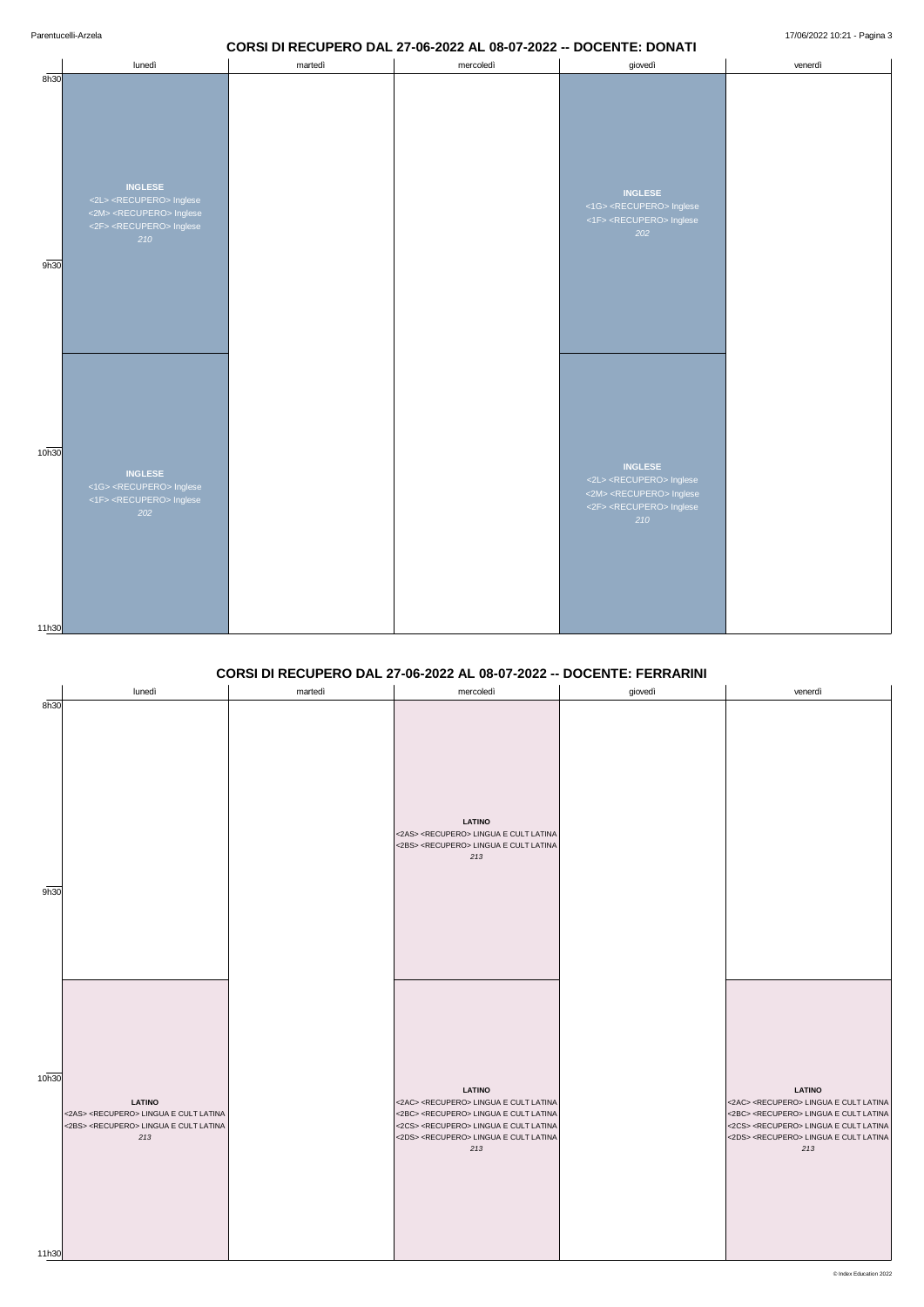## **CORSI DI RECUPERO DAL 27-06-2022 AL 08-07-2022 -- DOCENTE: DONATI**

|                            | lunedì                                                                                                                                                 | martedì | mercoledì | giovedì                                                                                                                                                | venerdì |
|----------------------------|--------------------------------------------------------------------------------------------------------------------------------------------------------|---------|-----------|--------------------------------------------------------------------------------------------------------------------------------------------------------|---------|
| 8h30<br>9h30               | <b>INGLESE</b><br><2L> <recupero> Inglese<br/>&lt;2M&gt; <recupero> Inglese<br/>&lt;2F&gt; <recupero> Inglese<br/>210</recupero></recupero></recupero> |         |           | <b>INGLESE</b><br><1G> <recupero> Inglese<br/>&lt;1F&gt; <recupero> Inglese<br/>202</recupero></recupero>                                              |         |
| 10 <sub>h30</sub><br>11h30 | <b>INGLESE</b><br><1G> <recupero> Inglese<br/>&lt;1F&gt; <recupero> Inglese<br/>202</recupero></recupero>                                              |         |           | <b>INGLESE</b><br><2L> <recupero> Inglese<br/>&lt;2M&gt; <recupero> Inglese<br/>&lt;2F&gt; <recupero> Inglese<br/>210</recupero></recupero></recupero> |         |

## **CORSI DI RECUPERO DAL 27-06-2022 AL 08-07-2022 -- DOCENTE: FERRARINI**

|      | lunedì | martedì | mercoledì                                                                                                                            | giovedì | venerdì |
|------|--------|---------|--------------------------------------------------------------------------------------------------------------------------------------|---------|---------|
| 8h30 |        |         | <b>LATINO</b><br><2AS> <recupero> LINGUA E CULT LATINA<br/>&lt;2BS&gt; <recupero> LINGUA E CULT LATINA<br/>213</recupero></recupero> |         |         |
| 9h30 |        |         |                                                                                                                                      |         |         |

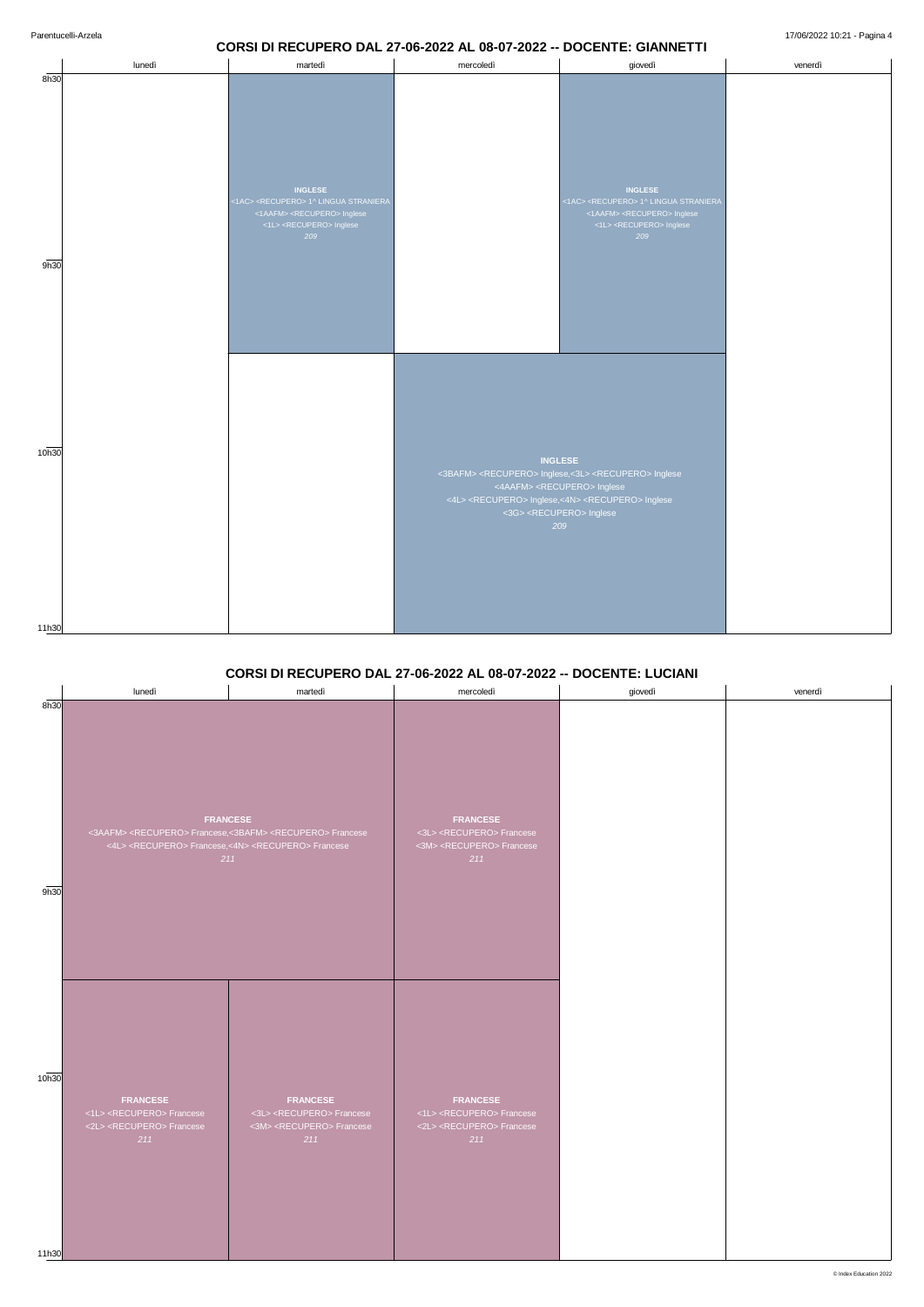#### **CORSI DI RECUPERO DAL 27-06-2022 AL 08-07-2022 -- DOCENTE: GIANNETTI**

|                            | lunedì | martedì                                                                                                                                                                | mercoledì      | giovedì                                                                                                                                                                                                                                                                   | venerdì |
|----------------------------|--------|------------------------------------------------------------------------------------------------------------------------------------------------------------------------|----------------|---------------------------------------------------------------------------------------------------------------------------------------------------------------------------------------------------------------------------------------------------------------------------|---------|
| 8h30<br>9h30               |        | <b>INGLESE</b><br><1AC> <recupero> 1^ LINGUA STRANIERA<br/>&lt;1AAFM&gt; <recupero> Inglese<br/>&lt;1L&gt; <recupero> Inglese<br/>209</recupero></recupero></recupero> |                | <b>INGLESE</b><br><1AC> <recupero> 1^ LINGUA STRANIERA<br/>&lt;1AAFM&gt; <recupero> Inglese<br/>&lt;1L&gt; <recupero> Inglese<br/>209</recupero></recupero></recupero>                                                                                                    |         |
| 10 <sub>h30</sub><br>11h30 |        |                                                                                                                                                                        | <b>INGLESE</b> | <3BAFM> <recupero> Inglese,&lt;3L&gt; <recupero> Inglese<br/>&lt;4AAFM&gt; <recupero> Inglese<br/>&lt;4L&gt; <recupero> Inglese,&lt;4N&gt; <recupero> Inglese<br/>&lt;3G&gt; <recupero> Inglese<br/>209</recupero></recupero></recupero></recupero></recupero></recupero> |         |

#### **CORSI DI RECUPERO DAL 27-06-2022 AL 08-07-2022 -- DOCENTE: LUCIANI**

|      | lunedì | martedì                                                                                                                                                                                                | mercoledì                                                                                                    | giovedì | venerdì |
|------|--------|--------------------------------------------------------------------------------------------------------------------------------------------------------------------------------------------------------|--------------------------------------------------------------------------------------------------------------|---------|---------|
| 8h30 |        |                                                                                                                                                                                                        |                                                                                                              |         |         |
| 9h30 |        | <b>FRANCESE</b><br><3AAFM> <recupero> Francese,&lt;3BAFM&gt; <recupero> Francese<br/>&lt;4L&gt; <recupero> Francese,&lt;4N&gt; <recupero> Francese<br/>211</recupero></recupero></recupero></recupero> | <b>FRANCESE</b><br><3L> <recupero> Francese<br/>&lt;3M&gt; <recupero> Francese<br/>211</recupero></recupero> |         |         |

11h30

**FRANCESE** <1L> <RECUPERO> Francese <2L> <RECUPERO> Francese *211*

**FRANCESE** <3L> <RECUPERO> Francese <3M> <RECUPERO> Francese *211*

**FRANCESE** <1L> <RECUPERO> Francese <2L> <RECUPERO> Francese *211*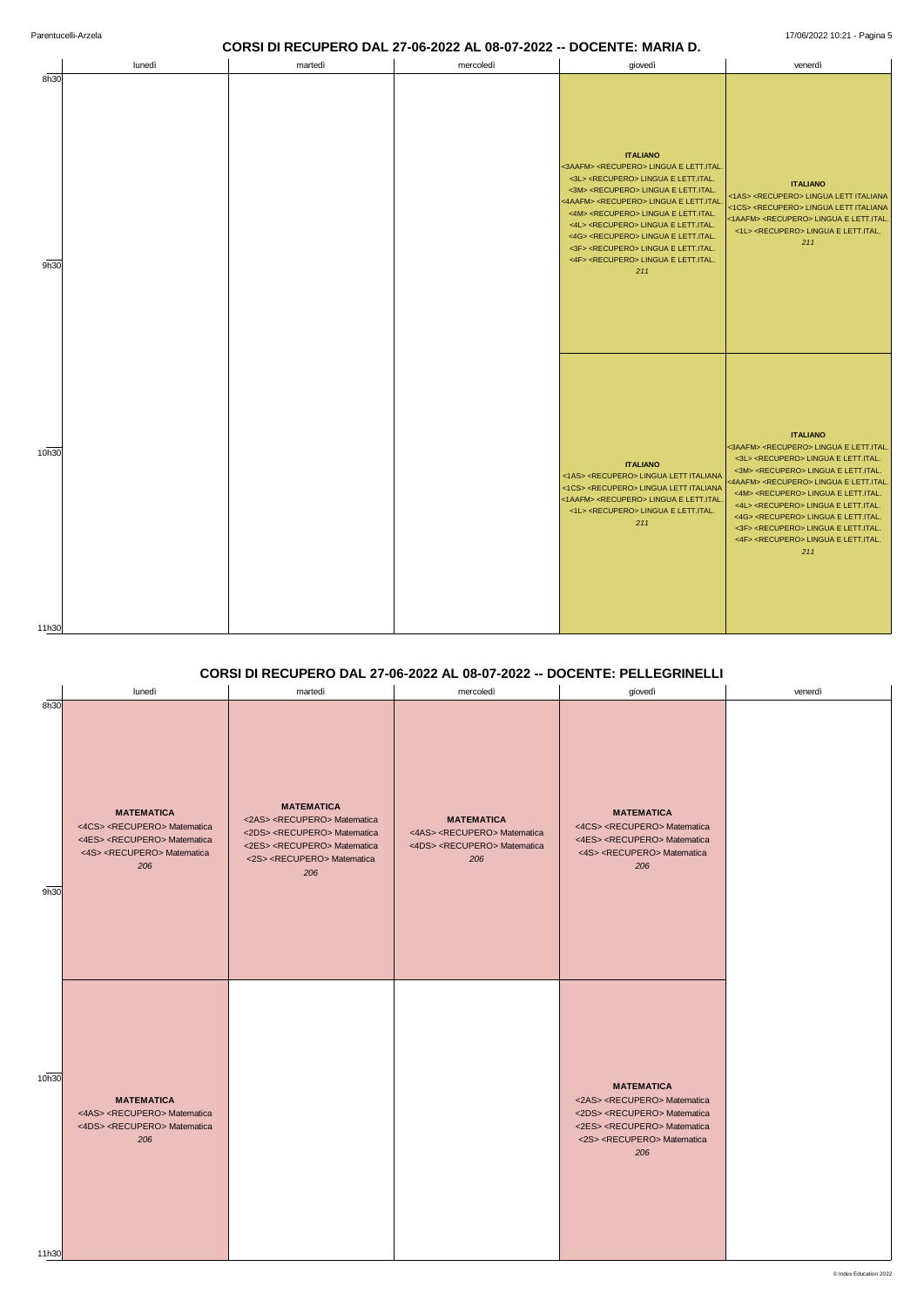# **CORSI DI RECUPERO DAL 27-06-2022 AL 08-07-2022 -- DOCENTE: MARIA D.**

|                | lunedì | martedì | mercoledì | giovedì                                                                                                                                                                                                                                                                                                                                                                                                                                                                                                                                               | venerdì                                                                                                                                                                                                                                                                                                                                                                                                                                                                                                                                               |
|----------------|--------|---------|-----------|-------------------------------------------------------------------------------------------------------------------------------------------------------------------------------------------------------------------------------------------------------------------------------------------------------------------------------------------------------------------------------------------------------------------------------------------------------------------------------------------------------------------------------------------------------|-------------------------------------------------------------------------------------------------------------------------------------------------------------------------------------------------------------------------------------------------------------------------------------------------------------------------------------------------------------------------------------------------------------------------------------------------------------------------------------------------------------------------------------------------------|
| 8h30<br>9h30   |        |         |           | <b>ITALIANO</b><br><3AAFM> <recupero> LINGUA E LETT.ITAL<br/>&lt;3L&gt; <recupero> LINGUA E LETT.ITAL.<br/>&lt;3M&gt; <recupero> LINGUA E LETT.ITAL.<br/>&lt;4AAFM&gt; <recupero> LINGUA E LETT.ITAL<br/>&lt;4M&gt; <recupero> LINGUA E LETT.ITAL.<br/>&lt;4L&gt; <recupero> LINGUA E LETT.ITAL.<br/>&lt;4G&gt; <recupero> LINGUA E LETT.ITAL.<br/>&lt;3F&gt; <recupero> LINGUA E LETT.ITAL.<br/>&lt;4F&gt; <recupero> LINGUA E LETT.ITAL.<br/>211</recupero></recupero></recupero></recupero></recupero></recupero></recupero></recupero></recupero> | <b>ITALIANO</b><br><1AS> <recupero> LINGUA LETT ITALIANA<br/>&lt;1CS&gt; <recupero> LINGUA LETT ITALIANA<br/>&lt;1AAFM&gt; <recupero> LINGUA E LETT.ITAL.<br/>&lt;1L&gt; <recupero> LINGUA E LETT.ITAL.<br/>211</recupero></recupero></recupero></recupero>                                                                                                                                                                                                                                                                                           |
| 10h30<br>11h30 |        |         |           | <b>ITALIANO</b><br><1AS> <recupero> LINGUA LETT ITALIANA<br/>&lt;1CS&gt; <recupero> LINGUA LETT ITALIANA<br/>&lt;1AAFM&gt; <recupero> LINGUA E LETT.ITAL.<br/>&lt;1L&gt; <recupero> LINGUA E LETT.ITAL.<br/>211</recupero></recupero></recupero></recupero>                                                                                                                                                                                                                                                                                           | <b>ITALIANO</b><br><3AAFM> <recupero> LINGUA E LETT.ITAL<br/>&lt;3L&gt; <recupero> LINGUA E LETT.ITAL.<br/>&lt;3M&gt; <recupero> LINGUA E LETT.ITAL.<br/>&lt;4AAFM&gt; <recupero> LINGUA E LETT.ITAL<br/>&lt;4M&gt; <recupero> LINGUA E LETT.ITAL.<br/>&lt;4L&gt; <recupero> LINGUA E LETT.ITAL.<br/>&lt;4G&gt; <recupero> LINGUA E LETT.ITAL.<br/>&lt;3F&gt; <recupero> LINGUA E LETT.ITAL.<br/>&lt;4F&gt; <recupero> LINGUA E LETT.ITAL.<br/>211</recupero></recupero></recupero></recupero></recupero></recupero></recupero></recupero></recupero> |

## **CORSI DI RECUPERO DAL 27-06-2022 AL 08-07-2022 -- DOCENTE: PELLEGRINELLI**

|              | lunedì                                                                                                                                                               | martedì                                                                                                                                                                                                               | mercoledì                                                                                                            | giovedì                                                                                                                                                              | venerdì |
|--------------|----------------------------------------------------------------------------------------------------------------------------------------------------------------------|-----------------------------------------------------------------------------------------------------------------------------------------------------------------------------------------------------------------------|----------------------------------------------------------------------------------------------------------------------|----------------------------------------------------------------------------------------------------------------------------------------------------------------------|---------|
| 8h30<br>9h30 | <b>MATEMATICA</b><br><4CS> <recupero> Matematica<br/>&lt;4ES&gt; <recupero> Matematica<br/>&lt;4S&gt; <recupero> Matematica<br/>206</recupero></recupero></recupero> | <b>MATEMATICA</b><br><2AS> <recupero> Matematica<br/>&lt;2DS&gt; <recupero> Matematica<br/>&lt;2ES&gt; <recupero> Matematica<br/>&lt;2S&gt; <recupero> Matematica<br/>206</recupero></recupero></recupero></recupero> | <b>MATEMATICA</b><br><4AS> <recupero> Matematica<br/>&lt;4DS&gt; <recupero> Matematica<br/>206</recupero></recupero> | <b>MATEMATICA</b><br><4CS> <recupero> Matematica<br/>&lt;4ES&gt; <recupero> Matematica<br/>&lt;4S&gt; <recupero> Matematica<br/>206</recupero></recupero></recupero> |         |
|              |                                                                                                                                                                      |                                                                                                                                                                                                                       |                                                                                                                      |                                                                                                                                                                      |         |

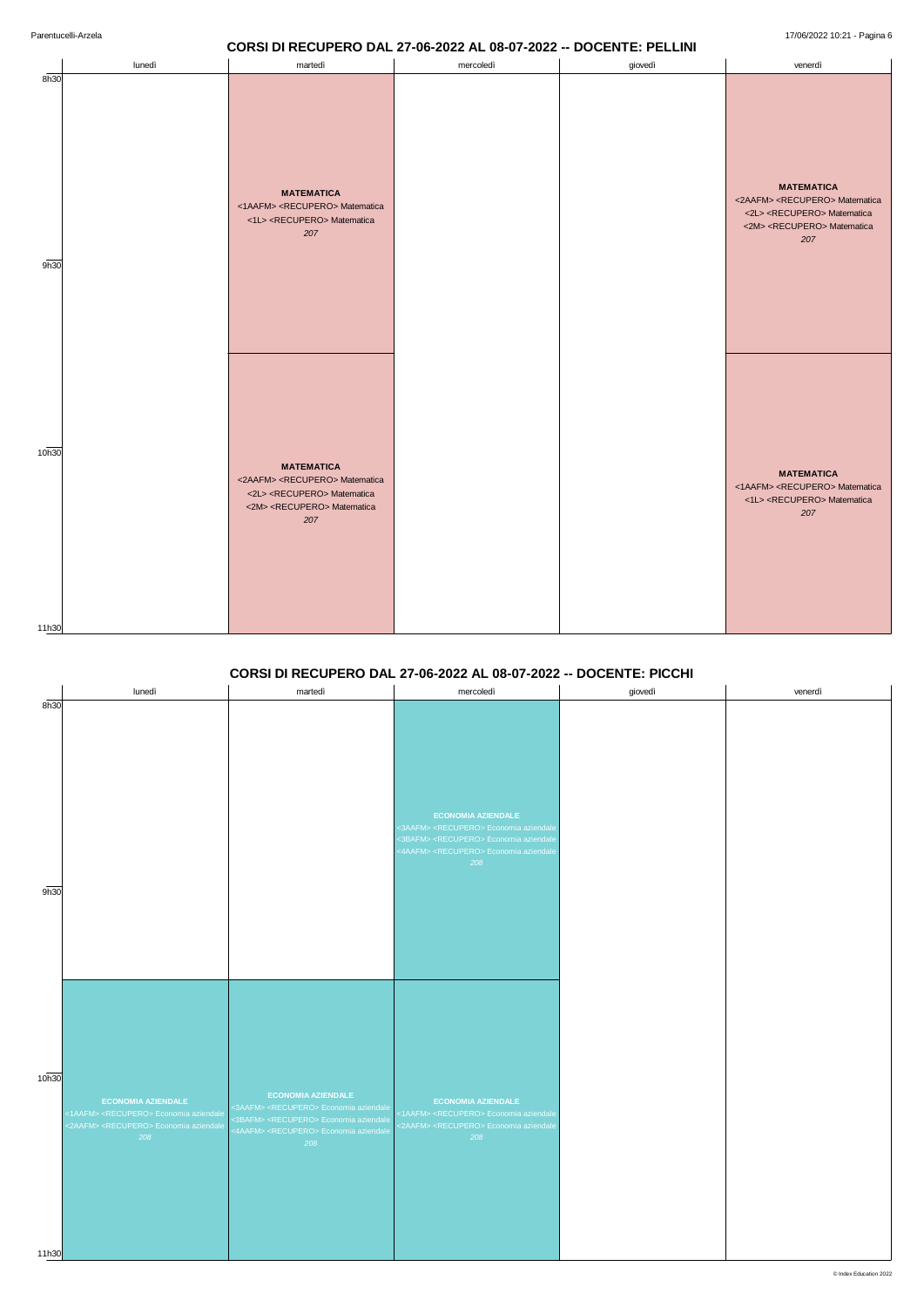## **CORSI DI RECUPERO DAL 27-06-2022 AL 08-07-2022 -- DOCENTE: PELLINI**

|                | lunedì | martedì                                                                                                                                                               | mercoledì | giovedì | venerdì                                                                                                                                                               |
|----------------|--------|-----------------------------------------------------------------------------------------------------------------------------------------------------------------------|-----------|---------|-----------------------------------------------------------------------------------------------------------------------------------------------------------------------|
| 8h30<br>9h30   |        | <b>MATEMATICA</b><br><1AAFM> <recupero> Matematica<br/>&lt;1L&gt; <recupero> Matematica<br/>207</recupero></recupero>                                                 |           |         | <b>MATEMATICA</b><br><2AAFM> <recupero> Matematica<br/>&lt;2L&gt; <recupero> Matematica<br/>&lt;2M&gt; <recupero> Matematica<br/>207</recupero></recupero></recupero> |
| 10h30<br>11h30 |        | <b>MATEMATICA</b><br><2AAFM> <recupero> Matematica<br/>&lt;2L&gt; <recupero> Matematica<br/>&lt;2M&gt; <recupero> Matematica<br/>207</recupero></recupero></recupero> |           |         | <b>MATEMATICA</b><br><1AAFM> <recupero> Matematica<br/>&lt;1L&gt; <recupero> Matematica<br/>207</recupero></recupero>                                                 |

#### **CORSI DI RECUPERO DAL 27-06-2022 AL 08-07-2022 -- DOCENTE: PICCHI**



|      | lunedì | martedì | mercoledì                                                                                                                                                                      | giovedì | venerdì |
|------|--------|---------|--------------------------------------------------------------------------------------------------------------------------------------------------------------------------------|---------|---------|
| 8h30 |        |         | <b>ECONOMIA AZIENDALE</b>                                                                                                                                                      |         |         |
|      |        |         | <3AAFM> <recupero> Economia aziendale<br/>&lt;3BAFM&gt; <recupero> Economia aziendale<br/>&lt;4AAFM&gt; <recupero> Economia aziendale<br/>208</recupero></recupero></recupero> |         |         |
| 9h30 |        |         |                                                                                                                                                                                |         |         |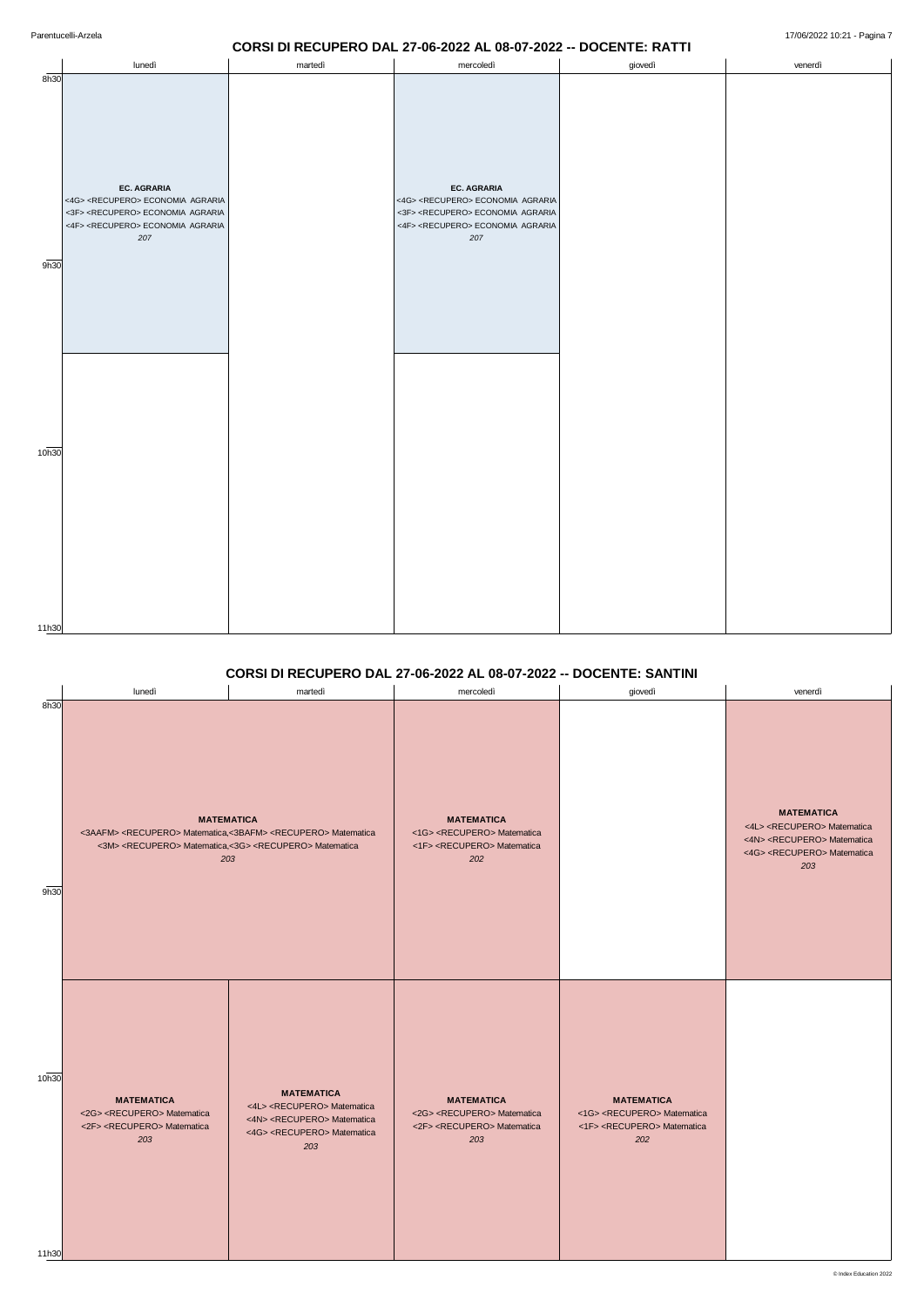#### **CORSI DI RECUPERO DAL 27-06-2022 AL 08-07-2022 -- DOCENTE: RATTI**

|       |                                                                                                   |         | - -<br>$\bm\vee\bm\vee$<br>۰<br>$\overline{\phantom{0}}$<br>--                                    | $\tilde{\phantom{a}}$<br>_______________ |         |
|-------|---------------------------------------------------------------------------------------------------|---------|---------------------------------------------------------------------------------------------------|------------------------------------------|---------|
|       | lunedì                                                                                            | martedì | mercoledì                                                                                         | giovedì                                  | venerdì |
| 8h30  | <b>EC. AGRARIA</b>                                                                                |         | EC. AGRARIA                                                                                       |                                          |         |
|       | <4G> <recupero> ECONOMIA AGRARIA<br/>&lt;3F&gt; <recupero> ECONOMIA AGRARIA</recupero></recupero> |         | <4G> <recupero> ECONOMIA AGRARIA<br/>&lt;3F&gt; <recupero> ECONOMIA AGRARIA</recupero></recupero> |                                          |         |
|       | <4F> <recupero> ECONOMIA AGRARIA</recupero>                                                       |         | <4F> <recupero> ECONOMIA AGRARIA</recupero>                                                       |                                          |         |
|       | 207                                                                                               |         | 207                                                                                               |                                          |         |
|       |                                                                                                   |         |                                                                                                   |                                          |         |
| 9h30  |                                                                                                   |         |                                                                                                   |                                          |         |
|       |                                                                                                   |         |                                                                                                   |                                          |         |
|       |                                                                                                   |         |                                                                                                   |                                          |         |
|       |                                                                                                   |         |                                                                                                   |                                          |         |
|       |                                                                                                   |         |                                                                                                   |                                          |         |
|       |                                                                                                   |         |                                                                                                   |                                          |         |
|       |                                                                                                   |         |                                                                                                   |                                          |         |
|       |                                                                                                   |         |                                                                                                   |                                          |         |
|       |                                                                                                   |         |                                                                                                   |                                          |         |
|       |                                                                                                   |         |                                                                                                   |                                          |         |
| 10h30 |                                                                                                   |         |                                                                                                   |                                          |         |
|       |                                                                                                   |         |                                                                                                   |                                          |         |
|       |                                                                                                   |         |                                                                                                   |                                          |         |
|       |                                                                                                   |         |                                                                                                   |                                          |         |
|       |                                                                                                   |         |                                                                                                   |                                          |         |
|       |                                                                                                   |         |                                                                                                   |                                          |         |
|       |                                                                                                   |         |                                                                                                   |                                          |         |
|       |                                                                                                   |         |                                                                                                   |                                          |         |
|       |                                                                                                   |         |                                                                                                   |                                          |         |
|       |                                                                                                   |         |                                                                                                   |                                          |         |
| 11h30 |                                                                                                   |         |                                                                                                   |                                          |         |

## **CORSI DI RECUPERO DAL 27-06-2022 AL 08-07-2022 -- DOCENTE: SANTINI**

| 10h30 | <b>MATEMATICA</b><br><2G> <recupero> Matematica<br/>&lt;2F&gt; <recupero> Matematica<br/>203</recupero></recupero> | <b>MATEMATICA</b><br><4L> <recupero> Matematica<br/>&lt;4N&gt; <recupero> Matematica<br/>&lt;4G&gt; <recupero> Matematica<br/>203</recupero></recupero></recupero> | <b>MATEMATICA</b><br><2G> <recupero> Matematica<br/>&lt;2F&gt; <recupero> Matematica<br/>203</recupero></recupero> | <b>MATEMATICA</b><br><1G> <recupero> Matematica<br/>&lt;1F&gt; <recupero> Matematica<br/>202</recupero></recupero> |  |
|-------|--------------------------------------------------------------------------------------------------------------------|--------------------------------------------------------------------------------------------------------------------------------------------------------------------|--------------------------------------------------------------------------------------------------------------------|--------------------------------------------------------------------------------------------------------------------|--|
| 11h30 |                                                                                                                    |                                                                                                                                                                    |                                                                                                                    |                                                                                                                    |  |

|      | lunedì | martedì                                                                                                                                                                                                          | mercoledì                                                                                                          | giovedì | venerdì                                                                                                                                                            |
|------|--------|------------------------------------------------------------------------------------------------------------------------------------------------------------------------------------------------------------------|--------------------------------------------------------------------------------------------------------------------|---------|--------------------------------------------------------------------------------------------------------------------------------------------------------------------|
| 8h30 |        | <b>MATEMATICA</b><br><3AAFM> <recupero> Matematica,&lt;3BAFM&gt; <recupero> Matematica<br/>&lt;3M&gt; <recupero> Matematica,&lt;3G&gt; <recupero> Matematica<br/>203</recupero></recupero></recupero></recupero> | <b>MATEMATICA</b><br><1G> <recupero> Matematica<br/>&lt;1F&gt; <recupero> Matematica<br/>202</recupero></recupero> |         | <b>MATEMATICA</b><br><4L> <recupero> Matematica<br/>&lt;4N&gt; <recupero> Matematica<br/>&lt;4G&gt; <recupero> Matematica<br/>203</recupero></recupero></recupero> |
| 9h30 |        |                                                                                                                                                                                                                  |                                                                                                                    |         |                                                                                                                                                                    |